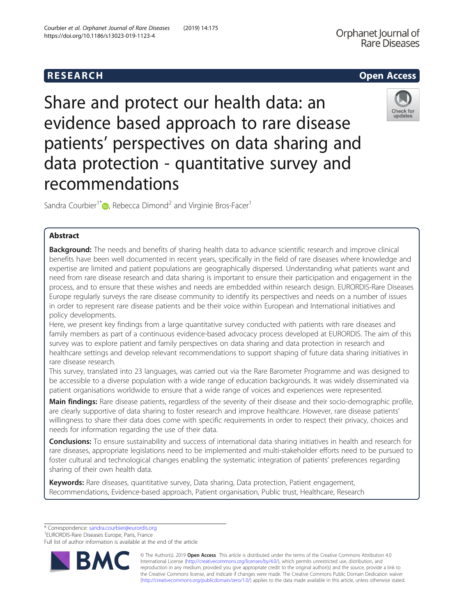Share and protect our health data: an evidence based approach to rare disease patients' perspectives on data sharing and data protection - quantitative survey and recommendations



Sandra Courbier<sup>1\*</sup><sup>D</sup>[,](http://orcid.org/0000-0003-1357-134X) Rebecca Dimond<sup>2</sup> and Virginie Bros-Facer<sup>1</sup>

# Abstract

Background: The needs and benefits of sharing health data to advance scientific research and improve clinical benefits have been well documented in recent years, specifically in the field of rare diseases where knowledge and expertise are limited and patient populations are geographically dispersed. Understanding what patients want and need from rare disease research and data sharing is important to ensure their participation and engagement in the process, and to ensure that these wishes and needs are embedded within research design. EURORDIS-Rare Diseases Europe regularly surveys the rare disease community to identify its perspectives and needs on a number of issues in order to represent rare disease patients and be their voice within European and International initiatives and policy developments.

Here, we present key findings from a large quantitative survey conducted with patients with rare diseases and family members as part of a continuous evidence-based advocacy process developed at EURORDIS. The aim of this survey was to explore patient and family perspectives on data sharing and data protection in research and healthcare settings and develop relevant recommendations to support shaping of future data sharing initiatives in rare disease research.

This survey, translated into 23 languages, was carried out via the Rare Barometer Programme and was designed to be accessible to a diverse population with a wide range of education backgrounds. It was widely disseminated via patient organisations worldwide to ensure that a wide range of voices and experiences were represented.

Main findings: Rare disease patients, regardless of the severity of their disease and their socio-demographic profile, are clearly supportive of data sharing to foster research and improve healthcare. However, rare disease patients' willingness to share their data does come with specific requirements in order to respect their privacy, choices and needs for information regarding the use of their data.

Conclusions: To ensure sustainability and success of international data sharing initiatives in health and research for rare diseases, appropriate legislations need to be implemented and multi-stakeholder efforts need to be pursued to foster cultural and technological changes enabling the systematic integration of patients' preferences regarding sharing of their own health data.

Keywords: Rare diseases, quantitative survey, Data sharing, Data protection, Patient engagement, Recommendations, Evidence-based approach, Patient organisation, Public trust, Healthcare, Research

\* Correspondence: [sandra.courbier@eurordis.org](mailto:sandra.courbier@eurordis.org) <sup>1</sup>

EURORDIS-Rare Diseases Europe, Paris, France

Full list of author information is available at the end of the article



© The Author(s). 2019 **Open Access** This article is distributed under the terms of the Creative Commons Attribution 4.0 International License [\(http://creativecommons.org/licenses/by/4.0/](http://creativecommons.org/licenses/by/4.0/)), which permits unrestricted use, distribution, and reproduction in any medium, provided you give appropriate credit to the original author(s) and the source, provide a link to the Creative Commons license, and indicate if changes were made. The Creative Commons Public Domain Dedication waiver [\(http://creativecommons.org/publicdomain/zero/1.0/](http://creativecommons.org/publicdomain/zero/1.0/)) applies to the data made available in this article, unless otherwise stated.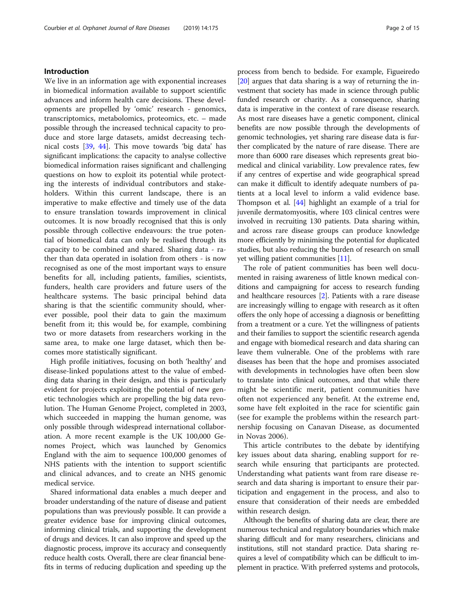## Introduction

We live in an information age with exponential increases in biomedical information available to support scientific advances and inform health care decisions. These developments are propelled by 'omic' research - genomics, transcriptomics, metabolomics, proteomics, etc. – made possible through the increased technical capacity to produce and store large datasets, amidst decreasing technical costs [\[39](#page-14-0), [44](#page-14-0)]. This move towards 'big data' has significant implications: the capacity to analyse collective biomedical information raises significant and challenging questions on how to exploit its potential while protecting the interests of individual contributors and stakeholders. Within this current landscape, there is an imperative to make effective and timely use of the data to ensure translation towards improvement in clinical outcomes. It is now broadly recognised that this is only possible through collective endeavours: the true potential of biomedical data can only be realised through its capacity to be combined and shared. Sharing data - rather than data operated in isolation from others - is now recognised as one of the most important ways to ensure benefits for all, including patients, families, scientists, funders, health care providers and future users of the healthcare systems. The basic principal behind data sharing is that the scientific community should, wherever possible, pool their data to gain the maximum benefit from it; this would be, for example, combining two or more datasets from researchers working in the same area, to make one large dataset, which then becomes more statistically significant.

High profile initiatives, focusing on both 'healthy' and disease-linked populations attest to the value of embedding data sharing in their design, and this is particularly evident for projects exploiting the potential of new genetic technologies which are propelling the big data revolution. The Human Genome Project, completed in 2003, which succeeded in mapping the human genome, was only possible through widespread international collaboration. A more recent example is the UK 100,000 Genomes Project, which was launched by Genomics England with the aim to sequence 100,000 genomes of NHS patients with the intention to support scientific and clinical advances, and to create an NHS genomic medical service.

Shared informational data enables a much deeper and broader understanding of the nature of disease and patient populations than was previously possible. It can provide a greater evidence base for improving clinical outcomes, informing clinical trials, and supporting the development of drugs and devices. It can also improve and speed up the diagnostic process, improve its accuracy and consequently reduce health costs. Overall, there are clear financial benefits in terms of reducing duplication and speeding up the process from bench to bedside. For example, Figueiredo [[20](#page-14-0)] argues that data sharing is a way of returning the investment that society has made in science through public funded research or charity. As a consequence, sharing data is imperative in the context of rare disease research. As most rare diseases have a genetic component, clinical benefits are now possible through the developments of genomic technologies, yet sharing rare disease data is further complicated by the nature of rare disease. There are more than 6000 rare diseases which represents great biomedical and clinical variability. Low prevalence rates, few if any centres of expertise and wide geographical spread can make it difficult to identify adequate numbers of patients at a local level to inform a valid evidence base. Thompson et al. [[44\]](#page-14-0) highlight an example of a trial for juvenile dermatomyositis, where 103 clinical centres were involved in recruiting 130 patients. Data sharing within, and across rare disease groups can produce knowledge more efficiently by minimising the potential for duplicated studies, but also reducing the burden of research on small yet willing patient communities [\[11](#page-14-0)].

The role of patient communities has been well documented in raising awareness of little known medical conditions and campaigning for access to research funding and healthcare resources [[2](#page-14-0)]. Patients with a rare disease are increasingly willing to engage with research as it often offers the only hope of accessing a diagnosis or benefitting from a treatment or a cure. Yet the willingness of patients and their families to support the scientific research agenda and engage with biomedical research and data sharing can leave them vulnerable. One of the problems with rare diseases has been that the hope and promises associated with developments in technologies have often been slow to translate into clinical outcomes, and that while there might be scientific merit, patient communities have often not experienced any benefit. At the extreme end, some have felt exploited in the race for scientific gain (see for example the problems within the research partnership focusing on Canavan Disease, as documented in Novas 2006).

This article contributes to the debate by identifying key issues about data sharing, enabling support for research while ensuring that participants are protected. Understanding what patients want from rare disease research and data sharing is important to ensure their participation and engagement in the process, and also to ensure that consideration of their needs are embedded within research design.

Although the benefits of sharing data are clear, there are numerous technical and regulatory boundaries which make sharing difficult and for many researchers, clinicians and institutions, still not standard practice. Data sharing requires a level of compatibility which can be difficult to implement in practice. With preferred systems and protocols,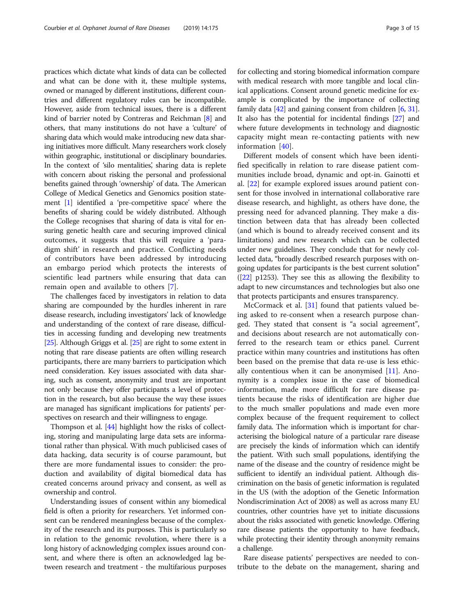practices which dictate what kinds of data can be collected and what can be done with it, these multiple systems, owned or managed by different institutions, different countries and different regulatory rules can be incompatible. However, aside from technical issues, there is a different kind of barrier noted by Contreras and Reichman [[8](#page-14-0)] and others, that many institutions do not have a 'culture' of sharing data which would make introducing new data sharing initiatives more difficult. Many researchers work closely within geographic, institutional or disciplinary boundaries. In the context of 'silo mentalities', sharing data is replete with concern about risking the personal and professional benefits gained through 'ownership' of data. The American College of Medical Genetics and Genomics position statement [[1](#page-14-0)] identified a 'pre-competitive space' where the benefits of sharing could be widely distributed. Although the College recognises that sharing of data is vital for ensuring genetic health care and securing improved clinical outcomes, it suggests that this will require a 'paradigm shift' in research and practice. Conflicting needs of contributors have been addressed by introducing an embargo period which protects the interests of scientific lead partners while ensuring that data can remain open and available to others [\[7](#page-14-0)].

The challenges faced by investigators in relation to data sharing are compounded by the hurdles inherent in rare disease research, including investigators' lack of knowledge and understanding of the context of rare disease, difficulties in accessing funding and developing new treatments [[25](#page-14-0)]. Although Griggs et al. [[25](#page-14-0)] are right to some extent in noting that rare disease patients are often willing research participants, there are many barriers to participation which need consideration. Key issues associated with data sharing, such as consent, anonymity and trust are important not only because they offer participants a level of protection in the research, but also because the way these issues are managed has significant implications for patients' perspectives on research and their willingness to engage.

Thompson et al. [[44](#page-14-0)] highlight how the risks of collecting, storing and manipulating large data sets are informational rather than physical. With much publicised cases of data hacking, data security is of course paramount, but there are more fundamental issues to consider: the production and availability of digital biomedical data has created concerns around privacy and consent, as well as ownership and control.

Understanding issues of consent within any biomedical field is often a priority for researchers. Yet informed consent can be rendered meaningless because of the complexity of the research and its purposes. This is particularly so in relation to the genomic revolution, where there is a long history of acknowledging complex issues around consent, and where there is often an acknowledged lag between research and treatment - the multifarious purposes for collecting and storing biomedical information compare with medical research with more tangible and local clinical applications. Consent around genetic medicine for example is complicated by the importance of collecting family data [[42](#page-14-0)] and gaining consent from children [\[6,](#page-14-0) [31](#page-14-0)]. It also has the potential for incidental findings [[27](#page-14-0)] and where future developments in technology and diagnostic capacity might mean re-contacting patients with new information [\[40](#page-14-0)].

Different models of consent which have been identified specifically in relation to rare disease patient communities include broad, dynamic and opt-in. Gainotti et al. [\[22](#page-14-0)] for example explored issues around patient consent for those involved in international collaborative rare disease research, and highlight, as others have done, the pressing need for advanced planning. They make a distinction between data that has already been collected (and which is bound to already received consent and its limitations) and new research which can be collected under new guidelines. They conclude that for newly collected data, "broadly described research purposes with ongoing updates for participants is the best current solution"  $([22]$  $([22]$  p1253). They see this as allowing the flexibility to adapt to new circumstances and technologies but also one that protects participants and ensures transparency.

McCormack et al. [[31\]](#page-14-0) found that patients valued being asked to re-consent when a research purpose changed. They stated that consent is "a social agreement", and decisions about research are not automatically conferred to the research team or ethics panel. Current practice within many countries and institutions has often been based on the premise that data re-use is less ethically contentious when it can be anonymised  $[11]$  $[11]$ . Anonymity is a complex issue in the case of biomedical information, made more difficult for rare disease patients because the risks of identification are higher due to the much smaller populations and made even more complex because of the frequent requirement to collect family data. The information which is important for characterising the biological nature of a particular rare disease are precisely the kinds of information which can identify the patient. With such small populations, identifying the name of the disease and the country of residence might be sufficient to identify an individual patient. Although discrimination on the basis of genetic information is regulated in the US (with the adoption of the Genetic Information Nondiscrimination Act of 2008) as well as across many EU countries, other countries have yet to initiate discussions about the risks associated with genetic knowledge. Offering rare disease patients the opportunity to have feedback, while protecting their identity through anonymity remains a challenge.

Rare disease patients' perspectives are needed to contribute to the debate on the management, sharing and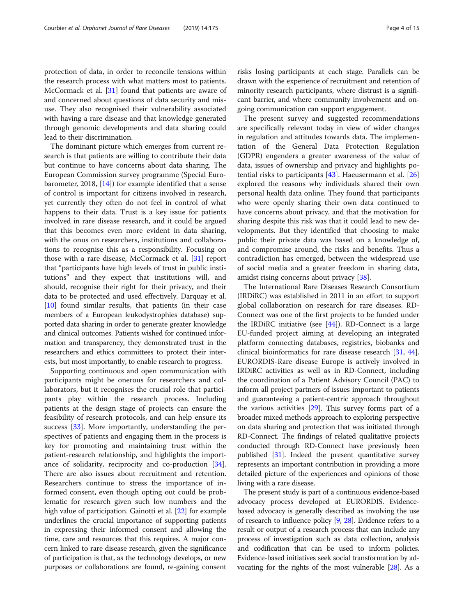protection of data, in order to reconcile tensions within the research process with what matters most to patients. McCormack et al. [[31](#page-14-0)] found that patients are aware of and concerned about questions of data security and misuse. They also recognised their vulnerability associated with having a rare disease and that knowledge generated through genomic developments and data sharing could lead to their discrimination.

The dominant picture which emerges from current research is that patients are willing to contribute their data but continue to have concerns about data sharing. The European Commission survey programme (Special Eurobarometer, 2018, [[14\]](#page-14-0)) for example identified that a sense of control is important for citizens involved in research, yet currently they often do not feel in control of what happens to their data. Trust is a key issue for patients involved in rare disease research, and it could be argued that this becomes even more evident in data sharing, with the onus on researchers, institutions and collaborations to recognise this as a responsibility. Focusing on those with a rare disease, McCormack et al. [[31](#page-14-0)] report that "participants have high levels of trust in public institutions" and they expect that institutions will, and should, recognise their right for their privacy, and their data to be protected and used effectively. Darquay et al. [[10\]](#page-14-0) found similar results, that patients (in their case members of a European leukodystrophies database) supported data sharing in order to generate greater knowledge and clinical outcomes. Patients wished for continued information and transparency, they demonstrated trust in the researchers and ethics committees to protect their interests, but most importantly, to enable research to progress.

Supporting continuous and open communication with participants might be onerous for researchers and collaborators, but it recognises the crucial role that participants play within the research process. Including patients at the design stage of projects can ensure the feasibility of research protocols, and can help ensure its success [[33\]](#page-14-0). More importantly, understanding the perspectives of patients and engaging them in the process is key for promoting and maintaining trust within the patient-research relationship, and highlights the importance of solidarity, reciprocity and co-production [\[34](#page-14-0)]. There are also issues about recruitment and retention. Researchers continue to stress the importance of informed consent, even though opting out could be problematic for research given such low numbers and the high value of participation. Gainotti et al. [\[22](#page-14-0)] for example underlines the crucial importance of supporting patients in expressing their informed consent and allowing the time, care and resources that this requires. A major concern linked to rare disease research, given the significance of participation is that, as the technology develops, or new purposes or collaborations are found, re-gaining consent

risks losing participants at each stage. Parallels can be drawn with the experience of recruitment and retention of minority research participants, where distrust is a significant barrier, and where community involvement and ongoing communication can support engagement.

The present survey and suggested recommendations are specifically relevant today in view of wider changes in regulation and attitudes towards data. The implementation of the General Data Protection Regulation (GDPR) engenders a greater awareness of the value of data, issues of ownership and privacy and highlights potential risks to participants  $[43]$ . Haeusermann et al.  $[26]$  $[26]$  $[26]$ explored the reasons why individuals shared their own personal health data online. They found that participants who were openly sharing their own data continued to have concerns about privacy, and that the motivation for sharing despite this risk was that it could lead to new developments. But they identified that choosing to make public their private data was based on a knowledge of, and compromise around, the risks and benefits. Thus a contradiction has emerged, between the widespread use of social media and a greater freedom in sharing data, amidst rising concerns about privacy [\[38](#page-14-0)].

The International Rare Diseases Research Consortium (IRDiRC) was established in 2011 in an effort to support global collaboration on research for rare diseases. RD-Connect was one of the first projects to be funded under the IRDiRC initiative (see  $[44]$  $[44]$ ). RD-Connect is a large EU-funded project aiming at developing an integrated platform connecting databases, registries, biobanks and clinical bioinformatics for rare disease research [[31,](#page-14-0) [44](#page-14-0)]. EURORDIS-Rare disease Europe is actively involved in IRDiRC activities as well as in RD-Connect, including the coordination of a Patient Advisory Council (PAC) to inform all project partners of issues important to patients and guaranteeing a patient-centric approach throughout the various activities [[29](#page-14-0)]. This survey forms part of a broader mixed methods approach to exploring perspective on data sharing and protection that was initiated through RD-Connect. The findings of related qualitative projects conducted through RD-Connect have previously been published [\[31\]](#page-14-0). Indeed the present quantitative survey represents an important contribution in providing a more detailed picture of the experiences and opinions of those living with a rare disease.

The present study is part of a continuous evidence-based advocacy process developed at EURORDIS. Evidencebased advocacy is generally described as involving the use of research to influence policy [[9,](#page-14-0) [28](#page-14-0)]. Evidence refers to a result or output of a research process that can include any process of investigation such as data collection, analysis and codification that can be used to inform policies. Evidence-based initiatives seek social transformation by advocating for the rights of the most vulnerable [[28](#page-14-0)]. As a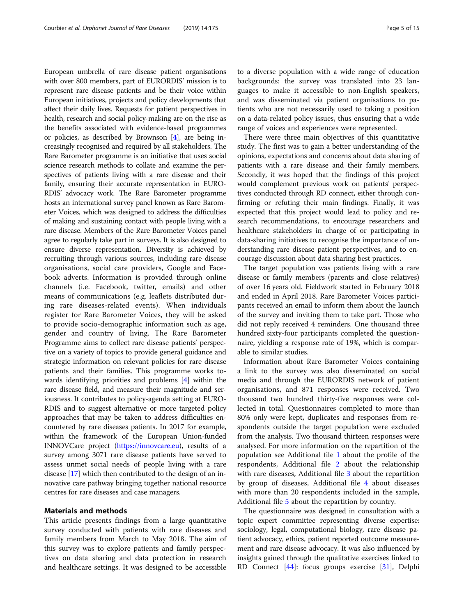European umbrella of rare disease patient organisations with over 800 members, part of EURORDIS' mission is to represent rare disease patients and be their voice within European initiatives, projects and policy developments that affect their daily lives. Requests for patient perspectives in health, research and social policy-making are on the rise as the benefits associated with evidence-based programmes or policies, as described by Brownson [\[4\]](#page-14-0), are being increasingly recognised and required by all stakeholders. The Rare Barometer programme is an initiative that uses social science research methods to collate and examine the perspectives of patients living with a rare disease and their family, ensuring their accurate representation in EURO-RDIS' advocacy work. The Rare Barometer programme hosts an international survey panel known as Rare Barometer Voices, which was designed to address the difficulties of making and sustaining contact with people living with a rare disease. Members of the Rare Barometer Voices panel agree to regularly take part in surveys. It is also designed to ensure diverse representation. Diversity is achieved by recruiting through various sources, including rare disease organisations, social care providers, Google and Facebook adverts. Information is provided through online channels (i.e. Facebook, twitter, emails) and other means of communications (e.g. leaflets distributed during rare diseases-related events). When individuals register for Rare Barometer Voices, they will be asked to provide socio-demographic information such as age, gender and country of living. The Rare Barometer Programme aims to collect rare disease patients' perspective on a variety of topics to provide general guidance and strategic information on relevant policies for rare disease patients and their families. This programme works towards identifying priorities and problems [[4](#page-14-0)] within the rare disease field, and measure their magnitude and seriousness. It contributes to policy-agenda setting at EURO-RDIS and to suggest alternative or more targeted policy approaches that may be taken to address difficulties encountered by rare diseases patients. In 2017 for example, within the framework of the European Union-funded INNOVCare project [\(https://innovcare.eu](https://innovcare.eu)), results of a survey among 3071 rare disease patients have served to assess unmet social needs of people living with a rare disease [\[17](#page-14-0)] which then contributed to the design of an innovative care pathway bringing together national resource centres for rare diseases and case managers.

## Materials and methods

This article presents findings from a large quantitative survey conducted with patients with rare diseases and family members from March to May 2018. The aim of this survey was to explore patients and family perspectives on data sharing and data protection in research and healthcare settings. It was designed to be accessible

to a diverse population with a wide range of education backgrounds: the survey was translated into 23 languages to make it accessible to non-English speakers, and was disseminated via patient organisations to patients who are not necessarily used to taking a position on a data-related policy issues, thus ensuring that a wide range of voices and experiences were represented.

There were three main objectives of this quantitative study. The first was to gain a better understanding of the opinions, expectations and concerns about data sharing of patients with a rare disease and their family members. Secondly, it was hoped that the findings of this project would complement previous work on patients' perspectives conducted through RD connect, either through confirming or refuting their main findings. Finally, it was expected that this project would lead to policy and research recommendations, to encourage researchers and healthcare stakeholders in charge of or participating in data-sharing initiatives to recognise the importance of understanding rare disease patient perspectives, and to encourage discussion about data sharing best practices.

The target population was patients living with a rare disease or family members (parents and close relatives) of over 16 years old. Fieldwork started in February 2018 and ended in April 2018. Rare Barometer Voices participants received an email to inform them about the launch of the survey and inviting them to take part. Those who did not reply received 4 reminders. One thousand three hundred sixty-four participants completed the questionnaire, yielding a response rate of 19%, which is comparable to similar studies.

Information about Rare Barometer Voices containing a link to the survey was also disseminated on social media and through the EURORDIS network of patient organisations, and 871 responses were received. Two thousand two hundred thirty-five responses were collected in total. Questionnaires completed to more than 80% only were kept, duplicates and responses from respondents outside the target population were excluded from the analysis. Two thousand thirteen responses were analysed. For more information on the repartition of the population see Additional file [1](#page-13-0) about the profile of the respondents, Additional file [2](#page-13-0) about the relationship with rare diseases, Additional file [3](#page-13-0) about the repartition by group of diseases, Additional file [4](#page-13-0) about diseases with more than 20 respondents included in the sample, Additional file [5](#page-13-0) about the repartition by country.

The questionnaire was designed in consultation with a topic expert committee representing diverse expertise: sociology, legal, computational biology, rare disease patient advocacy, ethics, patient reported outcome measurement and rare disease advocacy. It was also influenced by insights gained through the qualitative exercises linked to RD Connect [[44](#page-14-0)]: focus groups exercise [[31](#page-14-0)], Delphi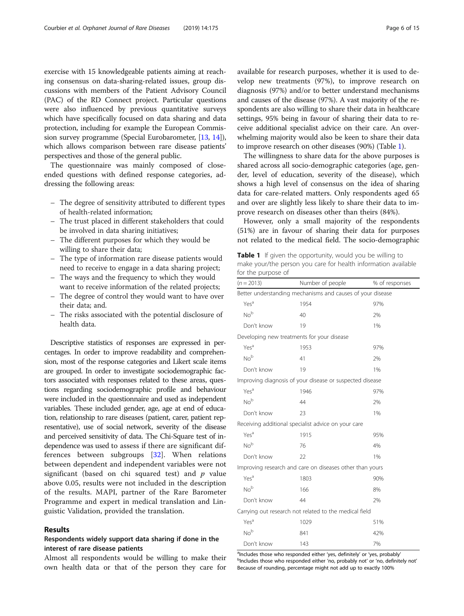exercise with 15 knowledgeable patients aiming at reaching consensus on data-sharing-related issues, group discussions with members of the Patient Advisory Council (PAC) of the RD Connect project. Particular questions were also influenced by previous quantitative surveys which have specifically focused on data sharing and data protection, including for example the European Commission survey programme (Special Eurobarometer, [[13](#page-14-0), [14](#page-14-0)]), which allows comparison between rare disease patients' perspectives and those of the general public.

The questionnaire was mainly composed of closeended questions with defined response categories, addressing the following areas:

- The degree of sensitivity attributed to different types of health-related information;
- The trust placed in different stakeholders that could be involved in data sharing initiatives;
- The different purposes for which they would be willing to share their data;
- The type of information rare disease patients would need to receive to engage in a data sharing project;
- The ways and the frequency to which they would want to receive information of the related projects;
- The degree of control they would want to have over their data; and.
- The risks associated with the potential disclosure of health data.

Descriptive statistics of responses are expressed in percentages. In order to improve readability and comprehension, most of the response categories and Likert scale items are grouped. In order to investigate sociodemographic factors associated with responses related to these areas, questions regarding sociodemographic profile and behaviour were included in the questionnaire and used as independent variables. These included gender, age, age at end of education, relationship to rare diseases (patient, carer, patient representative), use of social network, severity of the disease and perceived sensitivity of data. The Chi-Square test of independence was used to assess if there are significant differences between subgroups [[32\]](#page-14-0). When relations between dependent and independent variables were not significant (based on chi squared test) and  $p$  value above 0.05, results were not included in the description of the results. MAPI, partner of the Rare Barometer Programme and expert in medical translation and Linguistic Validation, provided the translation.

## Results

# Respondents widely support data sharing if done in the interest of rare disease patients

Almost all respondents would be willing to make their own health data or that of the person they care for available for research purposes, whether it is used to develop new treatments (97%), to improve research on diagnosis (97%) and/or to better understand mechanisms and causes of the disease (97%). A vast majority of the respondents are also willing to share their data in healthcare settings, 95% being in favour of sharing their data to receive additional specialist advice on their care. An overwhelming majority would also be keen to share their data to improve research on other diseases (90%) (Table 1).

The willingness to share data for the above purposes is shared across all socio-demographic categories (age, gender, level of education, severity of the disease), which shows a high level of consensus on the idea of sharing data for care-related matters. Only respondents aged 65 and over are slightly less likely to share their data to improve research on diseases other than theirs (84%).

However, only a small majority of the respondents (51%) are in favour of sharing their data for purposes not related to the medical field. The socio-demographic

Table 1 If given the opportunity, would you be willing to make your/the person you care for health information available for the purpose of

| $(n = 2013)$     | Number of people                                           | % of responses |
|------------------|------------------------------------------------------------|----------------|
|                  | Better understanding mechanisms and causes of your disease |                |
| Yes <sup>a</sup> | 1954                                                       | 97%            |
| No <sup>b</sup>  | 40                                                         | 2%             |
| Don't know       | 19                                                         | 1%             |
|                  | Developing new treatments for your disease                 |                |
| Yes <sup>a</sup> | 1953                                                       | 97%            |
| No <sup>b</sup>  | 41                                                         | 2%             |
| Don't know       | 19                                                         | 1%             |
|                  | Improving diagnosis of your disease or suspected disease   |                |
| Yes <sup>a</sup> | 1946                                                       | 97%            |
| No <sup>b</sup>  | 44                                                         | 2%             |
| Don't know       | 23                                                         | 1%             |
|                  | Receiving additional specialist advice on your care        |                |
| Yes <sup>a</sup> | 1915                                                       | 95%            |
| No <sup>b</sup>  | 76                                                         | 4%             |
| Don't know       | 22                                                         | 1%             |
|                  | Improving research and care on diseases other than yours   |                |
| Yes <sup>a</sup> | 1803                                                       | 90%            |
| No <sup>b</sup>  | 166                                                        | 8%             |
| Don't know       | 44                                                         | 2%             |
|                  | Carrying out research not related to the medical field     |                |
| Yes <sup>a</sup> | 1029                                                       | 51%            |
| No <sup>b</sup>  | 841                                                        | 42%            |
| Don't know       | 143                                                        | 7%             |

<sup>a</sup>lncludes those who responded either 'yes, definitely' or 'yes, probably <sup>b</sup>Includes those who responded either 'no, probably not' or 'no, definitely not' Because of rounding, percentage might not add up to exactly 100%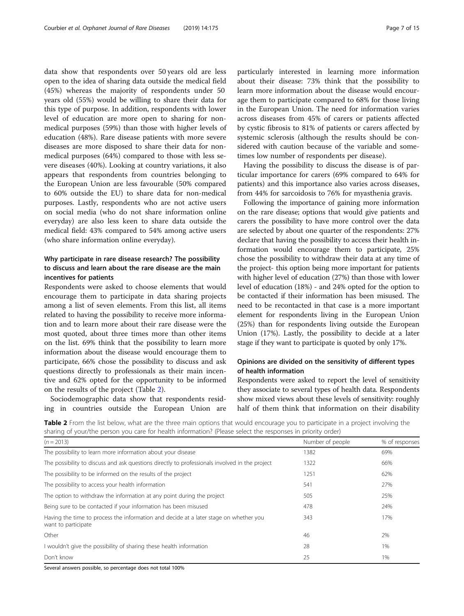<span id="page-6-0"></span>data show that respondents over 50 years old are less open to the idea of sharing data outside the medical field (45%) whereas the majority of respondents under 50 years old (55%) would be willing to share their data for this type of purpose. In addition, respondents with lower level of education are more open to sharing for nonmedical purposes (59%) than those with higher levels of education (48%). Rare disease patients with more severe diseases are more disposed to share their data for nonmedical purposes (64%) compared to those with less severe diseases (40%). Looking at country variations, it also appears that respondents from countries belonging to the European Union are less favourable (50% compared to 60% outside the EU) to share data for non-medical purposes. Lastly, respondents who are not active users on social media (who do not share information online everyday) are also less keen to share data outside the medical field: 43% compared to 54% among active users (who share information online everyday).

# Why participate in rare disease research? The possibility to discuss and learn about the rare disease are the main incentives for patients

Respondents were asked to choose elements that would encourage them to participate in data sharing projects among a list of seven elements. From this list, all items related to having the possibility to receive more information and to learn more about their rare disease were the most quoted, about three times more than other items on the list. 69% think that the possibility to learn more information about the disease would encourage them to participate, 66% chose the possibility to discuss and ask questions directly to professionals as their main incentive and 62% opted for the opportunity to be informed on the results of the project (Table 2).

Sociodemographic data show that respondents residing in countries outside the European Union are

particularly interested in learning more information about their disease: 73% think that the possibility to learn more information about the disease would encourage them to participate compared to 68% for those living in the European Union. The need for information varies across diseases from 45% of carers or patients affected by cystic fibrosis to 81% of patients or carers affected by systemic sclerosis (although the results should be considered with caution because of the variable and sometimes low number of respondents per disease).

Having the possibility to discuss the disease is of particular importance for carers (69% compared to 64% for patients) and this importance also varies across diseases, from 44% for sarcoidosis to 76% for myasthenia gravis.

Following the importance of gaining more information on the rare disease; options that would give patients and carers the possibility to have more control over the data are selected by about one quarter of the respondents: 27% declare that having the possibility to access their health information would encourage them to participate, 25% chose the possibility to withdraw their data at any time of the project- this option being more important for patients with higher level of education (27%) than those with lower level of education (18%) - and 24% opted for the option to be contacted if their information has been misused. The need to be recontacted in that case is a more important element for respondents living in the European Union (25%) than for respondents living outside the European Union (17%). Lastly, the possibility to decide at a later stage if they want to participate is quoted by only 17%.

# Opinions are divided on the sensitivity of different types of health information

Respondents were asked to report the level of sensitivity they associate to several types of health data. Respondents show mixed views about these levels of sensitivity: roughly half of them think that information on their disability

Table 2 From the list below, what are the three main options that would encourage you to participate in a project involving the sharing of your/the person you care for health information? (Please select the responses in priority order)

| ranny or four, the person four care for health information, pricase served the responses in phontfl order,   |                  |                |  |
|--------------------------------------------------------------------------------------------------------------|------------------|----------------|--|
| $(n = 2013)$                                                                                                 | Number of people | % of responses |  |
| The possibility to learn more information about your disease                                                 | 1382             | 69%            |  |
| The possibility to discuss and ask guestions directly to professionals involved in the project               | 1322             | 66%            |  |
| The possibility to be informed on the results of the project                                                 | 1251             | 62%            |  |
| The possibility to access your health information                                                            | 541              | 27%            |  |
| The option to withdraw the information at any point during the project                                       | 505              | 25%            |  |
| Being sure to be contacted if your information has been misused                                              | 478              | 24%            |  |
| Having the time to process the information and decide at a later stage on whether you<br>want to participate | 343              | 17%            |  |
| Other                                                                                                        | 46               | 2%             |  |
| I wouldn't give the possibility of sharing these health information                                          | 28               | 1%             |  |
| Don't know                                                                                                   | 25               | 1%             |  |

Several answers possible, so percentage does not total 100%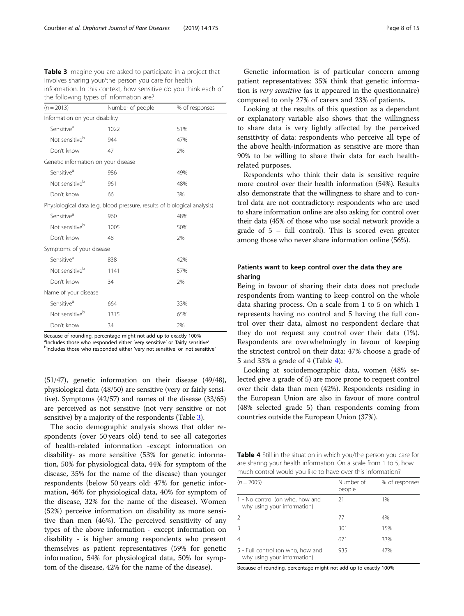Table 3 Imagine you are asked to participate in a project that involves sharing your/the person you care for health

information. In this context, how sensitive do you think each of the following types of information are?

| $(n = 2013)$                        | Number of people                                                         | % of responses |  |  |
|-------------------------------------|--------------------------------------------------------------------------|----------------|--|--|
| Information on your disability      |                                                                          |                |  |  |
| Sensitive <sup>a</sup>              | 1022                                                                     | 51%            |  |  |
| Not sensitive <sup>b</sup>          | 944                                                                      | 47%            |  |  |
| Don't know                          | 47                                                                       | 2%             |  |  |
| Genetic information on your disease |                                                                          |                |  |  |
| Sensitive <sup>a</sup>              | 986                                                                      | 49%            |  |  |
| Not sensitive <sup>b</sup>          | 961                                                                      | 48%            |  |  |
| Don't know                          | 66                                                                       | 3%             |  |  |
|                                     | Physiological data (e.g. blood pressure, results of biological analysis) |                |  |  |
| Sensitive <sup>a</sup>              | 960                                                                      | 48%            |  |  |
| Not sensitive <sup>b</sup>          | 1005                                                                     | 50%            |  |  |
| Don't know                          | 48                                                                       | 2%             |  |  |
| Symptoms of your disease            |                                                                          |                |  |  |
| Sensitive <sup>a</sup>              | 838                                                                      | 42%            |  |  |
| Not sensitive <sup>b</sup>          | 1141                                                                     | 57%            |  |  |
| Don't know                          | 34                                                                       | 2%             |  |  |
| Name of your disease                |                                                                          |                |  |  |
| Sensitive <sup>a</sup>              | 664                                                                      | 33%            |  |  |
| Not sensitive <sup>b</sup>          | 1315                                                                     | 65%            |  |  |
| Don't know                          | 34                                                                       | 2%             |  |  |

Because of rounding, percentage might not add up to exactly 100% a<br> **Includes those who responded either 'very sensitive' or 'fairly sensitive'**<br> **Pincludes those who responded either 'very not sensitive' or 'not sensitive'** <sup>b</sup>Includes those who responded either 'very not sensitive' or 'not sensitive'

(51/47), genetic information on their disease (49/48), physiological data (48/50) are sensitive (very or fairly sensitive). Symptoms (42/57) and names of the disease (33/65) are perceived as not sensitive (not very sensitive or not sensitive) by a majority of the respondents (Table 3).

The socio demographic analysis shows that older respondents (over 50 years old) tend to see all categories of health-related information -except information on disability- as more sensitive (53% for genetic information, 50% for physiological data, 44% for symptom of the disease, 35% for the name of the disease) than younger respondents (below 50 years old: 47% for genetic information, 46% for physiological data, 40% for symptom of the disease, 32% for the name of the disease). Women (52%) perceive information on disability as more sensitive than men (46%). The perceived sensitivity of any types of the above information - except information on disability - is higher among respondents who present themselves as patient representatives (59% for genetic information, 54% for physiological data, 50% for symptom of the disease, 42% for the name of the disease).

Genetic information is of particular concern among patient representatives: 35% think that genetic information is very sensitive (as it appeared in the questionnaire) compared to only 27% of carers and 23% of patients.

Looking at the results of this question as a dependant or explanatory variable also shows that the willingness to share data is very lightly affected by the perceived sensitivity of data: respondents who perceive all type of the above health-information as sensitive are more than 90% to be willing to share their data for each healthrelated purposes.

Respondents who think their data is sensitive require more control over their health information (54%). Results also demonstrate that the willingness to share and to control data are not contradictory: respondents who are used to share information online are also asking for control over their data (45% of those who use social network provide a grade of 5 – full control). This is scored even greater among those who never share information online (56%).

# Patients want to keep control over the data they are sharing

Being in favour of sharing their data does not preclude respondents from wanting to keep control on the whole data sharing process. On a scale from 1 to 5 on which 1 represents having no control and 5 having the full control over their data, almost no respondent declare that they do not request any control over their data (1%). Respondents are overwhelmingly in favour of keeping the strictest control on their data: 47% choose a grade of 5 and 33% a grade of 4 (Table 4).

Looking at sociodemographic data, women (48% selected give a grade of 5) are more prone to request control over their data than men (42%). Respondents residing in the European Union are also in favour of more control (48% selected grade 5) than respondents coming from countries outside the European Union (37%).

Table 4 Still in the situation in which you/the person you care for are sharing your health information. On a scale from 1 to 5, how much control would you like to have over this information?

| $(n = 2005)$                                                     | Number of<br>people | % of responses |
|------------------------------------------------------------------|---------------------|----------------|
| 1 - No control (on who, how and<br>why using your information)   | 21                  | 1%             |
| $\mathfrak{D}$                                                   | 77                  | 4%             |
| 3                                                                | 301                 | 15%            |
| $\overline{4}$                                                   | 671                 | 33%            |
| 5 - Full control (on who, how and<br>why using your information) | 935                 | 47%            |

Because of rounding, percentage might not add up to exactly 100%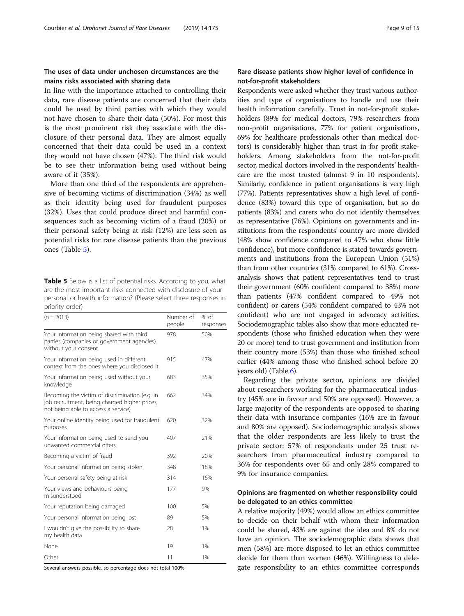# The uses of data under unchosen circumstances are the mains risks associated with sharing data

In line with the importance attached to controlling their data, rare disease patients are concerned that their data could be used by third parties with which they would not have chosen to share their data (50%). For most this is the most prominent risk they associate with the disclosure of their personal data. They are almost equally concerned that their data could be used in a context they would not have chosen (47%). The third risk would be to see their information being used without being aware of it (35%).

More than one third of the respondents are apprehensive of becoming victims of discrimination (34%) as well as their identity being used for fraudulent purposes (32%). Uses that could produce direct and harmful consequences such as becoming victim of a fraud (20%) or their personal safety being at risk (12%) are less seen as potential risks for rare disease patients than the previous ones (Table 5).

Table 5 Below is a list of potential risks. According to you, what are the most important risks connected with disclosure of your personal or health information? (Please select three responses in priority order)

| $(n = 2013)$                                                                                                                           | Number of<br>people | % of<br>responses |
|----------------------------------------------------------------------------------------------------------------------------------------|---------------------|-------------------|
| Your information being shared with third<br>parties (companies or government agencies)<br>without your consent                         | 978                 | 50%               |
| Your information being used in different<br>context from the ones where you disclosed it                                               | 915                 | 47%               |
| Your information being used without your<br>knowledge                                                                                  | 683                 | 35%               |
| Becoming the victim of discrimination (e.g. in<br>job recruitment, being charged higher prices,<br>not being able to access a service) | 662                 | 34%               |
| Your online identity being used for fraudulent<br>purposes                                                                             | 620                 | 32%               |
| Your information being used to send you<br>unwanted commercial offers                                                                  | 407                 | 21%               |
| Becoming a victim of fraud                                                                                                             | 392                 | 20%               |
| Your personal information being stolen                                                                                                 | 348                 | 18%               |
| Your personal safety being at risk                                                                                                     | 314                 | 16%               |
| Your views and behaviours being<br>misunderstood                                                                                       | 177                 | 9%                |
| Your reputation being damaged                                                                                                          | 100                 | 5%                |
| Your personal information being lost                                                                                                   | 89                  | 5%                |
| I wouldn't give the possibility to share<br>my health data                                                                             | 28                  | 1%                |
| None                                                                                                                                   | 19                  | 1%                |
| Other                                                                                                                                  | 11                  | 1%                |

Several answers possible, so percentage does not total 100%

# Rare disease patients show higher level of confidence in not-for-profit stakeholders

Respondents were asked whether they trust various authorities and type of organisations to handle and use their health information carefully. Trust in not-for-profit stakeholders (89% for medical doctors, 79% researchers from non-profit organisations, 77% for patient organisations, 69% for healthcare professionals other than medical doctors) is considerably higher than trust in for profit stakeholders. Among stakeholders from the not-for-profit sector, medical doctors involved in the respondents' healthcare are the most trusted (almost 9 in 10 respondents). Similarly, confidence in patient organisations is very high (77%). Patients representatives show a high level of confidence (83%) toward this type of organisation, but so do patients (83%) and carers who do not identify themselves as representative (76%). Opinions on governments and institutions from the respondents' country are more divided (48% show confidence compared to 47% who show little confidence), but more confidence is stated towards governments and institutions from the European Union (51%) than from other countries (31% compared to 61%). Crossanalysis shows that patient representatives tend to trust their government (60% confident compared to 38%) more than patients (47% confident compared to 49% not confident) or carers (54% confident compared to 43% not confident) who are not engaged in advocacy activities. Sociodemographic tables also show that more educated respondents (those who finished education when they were 20 or more) tend to trust government and institution from their country more (53%) than those who finished school earlier (44% among those who finished school before 20 years old) (Table [6](#page-9-0)).

Regarding the private sector, opinions are divided about researchers working for the pharmaceutical industry (45% are in favour and 50% are opposed). However, a large majority of the respondents are opposed to sharing their data with insurance companies (16% are in favour and 80% are opposed). Sociodemographic analysis shows that the older respondents are less likely to trust the private sector: 57% of respondents under 25 trust researchers from pharmaceutical industry compared to 36% for respondents over 65 and only 28% compared to 9% for insurance companies.

# Opinions are fragmented on whether responsibility could be delegated to an ethics committee

A relative majority (49%) would allow an ethics committee to decide on their behalf with whom their information could be shared, 43% are against the idea and 8% do not have an opinion. The sociodemographic data shows that men (58%) are more disposed to let an ethics committee decide for them than women (46%). Willingness to delegate responsibility to an ethics committee corresponds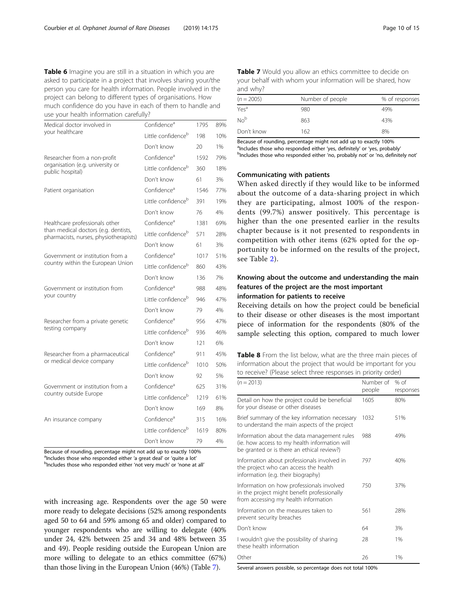<span id="page-9-0"></span>Table 6 Imagine you are still in a situation in which you are asked to participate in a project that involves sharing your/the person you care for health information. People involved in the project can belong to different types of organisations. How much confidence do you have in each of them to handle and use your health information carefully?

| Medical doctor involved in                                                     | Confidence <sup>a</sup>        | 1795 | 89% |
|--------------------------------------------------------------------------------|--------------------------------|------|-----|
| your healthcare                                                                | Little confidence <sup>b</sup> | 198  | 10% |
|                                                                                | Don't know                     | 20   | 1%  |
| Researcher from a non-profit                                                   | Confidence <sup>a</sup>        | 1592 | 79% |
| organisation (e.g. university or<br>public hospital)                           | Little confidence <sup>b</sup> | 360  | 18% |
|                                                                                | Don't know                     | 61   | 3%  |
| Patient organisation                                                           | Confidence <sup>a</sup>        | 1546 | 77% |
|                                                                                | Little confidence <sup>b</sup> | 391  | 19% |
|                                                                                | Don't know                     | 76   | 4%  |
| Healthcare professionals other                                                 | Confidence <sup>a</sup>        | 1381 | 69% |
| than medical doctors (e.g. dentists,<br>pharmacists, nurses, physiotherapists) | Little confidence <sup>b</sup> | 571  | 28% |
|                                                                                | Don't know                     | 61   | 3%  |
| Government or institution from a                                               | Confidence <sup>a</sup>        | 1017 | 51% |
| country within the European Union                                              | Little confidence <sup>b</sup> | 860  | 43% |
|                                                                                | Don't know                     | 136  | 7%  |
| Government or institution from                                                 | Confidence <sup>a</sup>        | 988  | 48% |
| your country                                                                   | Little confidence <sup>b</sup> | 946  | 47% |
|                                                                                | Don't know                     | 79   | 4%  |
| Researcher from a private genetic                                              | Confidence <sup>a</sup>        | 956  | 47% |
| testing company                                                                | Little confidence <sup>b</sup> | 936  | 46% |
|                                                                                | Don't know                     | 121  | 6%  |
| Researcher from a pharmaceutical                                               | Confidence <sup>a</sup>        | 911  | 45% |
| or medical device company                                                      | Little confidence <sup>b</sup> | 1010 | 50% |
|                                                                                | Don't know                     | 92   | 5%  |
| Government or institution from a                                               | Confidence <sup>a</sup>        | 625  | 31% |
| country outside Europe                                                         | Little confidence <sup>b</sup> | 1219 | 61% |
|                                                                                | Don't know                     | 169  | 8%  |
| An insurance company                                                           | Confidence <sup>a</sup>        | 315  | 16% |
|                                                                                | Little confidence <sup>b</sup> | 1619 | 80% |
|                                                                                | Don't know                     | 79   | 4%  |

Because of rounding, percentage might not add up to exactly 100%

a<br>
Includes those who responded either 'a great deal' or 'quite a lot'<br>
produces those who responded either 'not very much' or 'none at <sup>b</sup>Includes those who responded either 'not very much' or 'none at all'

with increasing age. Respondents over the age 50 were more ready to delegate decisions (52% among respondents aged 50 to 64 and 59% among 65 and older) compared to younger respondents who are willing to delegate (40% under 24, 42% between 25 and 34 and 48% between 35 and 49). People residing outside the European Union are more willing to delegate to an ethics committee (67%) than those living in the European Union (46%) (Table 7).

Table 7 Would you allow an ethics committee to decide on your behalf with whom your information will be shared, how and why?

| $(n = 2005)$     | Number of people | % of responses |
|------------------|------------------|----------------|
| Yes <sup>a</sup> | 980              | 49%            |
| No <sup>b</sup>  | 863              | 43%            |
| Don't know       | 162              | 8%             |

Because of rounding, percentage might not add up to exactly 100% <sup>a</sup> Includes those who responded either 'yes, definitely' or 'yes, probably <sup>b</sup>Includes those who responded either 'no, probably not' or 'no, definitely not'

## Communicating with patients

When asked directly if they would like to be informed about the outcome of a data-sharing project in which they are participating, almost 100% of the respondents (99.7%) answer positively. This percentage is higher than the one presented earlier in the results chapter because is it not presented to respondents in competition with other items (62% opted for the opportunity to be informed on the results of the project, see Table [2\)](#page-6-0).

# Knowing about the outcome and understanding the main features of the project are the most important information for patients to receive

Receiving details on how the project could be beneficial to their disease or other diseases is the most important piece of information for the respondents (80% of the sample selecting this option, compared to much lower

Table 8 From the list below, what are the three main pieces of information about the project that would be important for you to receive? (Please select three responses in priority order)

| $(n = 2013)$                                                                                                                               | Number of<br>people | % of<br>responses |
|--------------------------------------------------------------------------------------------------------------------------------------------|---------------------|-------------------|
| Detail on how the project could be beneficial<br>for your disease or other diseases                                                        | 1605                | 80%               |
| Brief summary of the key information necessary<br>to understand the main aspects of the project                                            | 1032                | 51%               |
| Information about the data management rules<br>(ie. how access to my health information will<br>be granted or is there an ethical review?) | 988                 | 49%               |
| Information about professionals involved in<br>the project who can access the health<br>information (e.g. their biography)                 | 797                 | 40%               |
| Information on how professionals involved<br>in the project might benefit professionally<br>from accessing my health information           | 750                 | 37%               |
| Information on the measures taken to<br>prevent security breaches                                                                          | 561                 | 28%               |
| Don't know                                                                                                                                 | 64                  | 3%                |
| I wouldn't give the possibility of sharing<br>these health information                                                                     | 28                  | 1%                |
| Other                                                                                                                                      | 26                  | 1%                |

Several answers possible, so percentage does not total 100%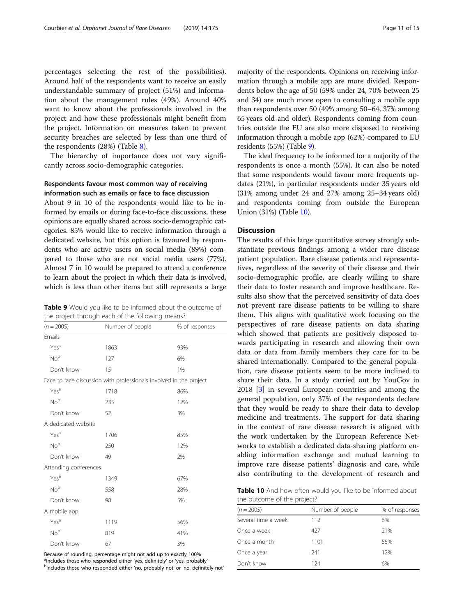percentages selecting the rest of the possibilities). Around half of the respondents want to receive an easily understandable summary of project (51%) and information about the management rules (49%). Around 40% want to know about the professionals involved in the project and how these professionals might benefit from the project. Information on measures taken to prevent security breaches are selected by less than one third of the respondents (28%) (Table [8](#page-9-0)).

The hierarchy of importance does not vary significantly across socio-demographic categories.

# Respondents favour most common way of receiving information such as emails or face to face discussion

About 9 in 10 of the respondents would like to be informed by emails or during face-to-face discussions, these opinions are equally shared across socio-demographic categories. 85% would like to receive information through a dedicated website, but this option is favoured by respondents who are active users on social media (89%) compared to those who are not social media users (77%). Almost 7 in 10 would be prepared to attend a conference to learn about the project in which their data is involved, which is less than other items but still represents a large

Table 9 Would you like to be informed about the outcome of the project through each of the following means?

| $(n = 2005)$          | Number of people                                                   | % of responses |
|-----------------------|--------------------------------------------------------------------|----------------|
| Emails                |                                                                    |                |
| Yes <sup>a</sup>      | 1863                                                               | 93%            |
| No <sup>b</sup>       | 127                                                                | 6%             |
| Don't know            | 15                                                                 | 1%             |
|                       | Face to face discussion with professionals involved in the project |                |
| Yes <sup>a</sup>      | 1718                                                               | 86%            |
| No <sup>b</sup>       | 235                                                                | 12%            |
| Don't know            | 52                                                                 | 3%             |
| A dedicated website   |                                                                    |                |
| Yes <sup>a</sup>      | 1706                                                               | 85%            |
| No <sup>b</sup>       | 250                                                                | 12%            |
| Don't know            | 49                                                                 | 2%             |
| Attending conferences |                                                                    |                |
| Yes <sup>a</sup>      | 1349                                                               | 67%            |
| No <sup>b</sup>       | 558                                                                | 28%            |
| Don't know            | 98                                                                 | 5%             |
| A mobile app          |                                                                    |                |
| Yes <sup>a</sup>      | 1119                                                               | 56%            |
| No <sup>b</sup>       | 819                                                                | 41%            |
| Don't know            | 67                                                                 | 3%             |

Because of rounding, percentage might not add up to exactly 100% a<br>
Includes those who responded either 'yes, definitely' or 'yes, probably'<br>
Pincludes those who responded either 'no probably not' or 'no definiti

<sup>b</sup>Includes those who responded either 'no, probably not' or 'no, definitely not'

majority of the respondents. Opinions on receiving information through a mobile app are more divided. Respondents below the age of 50 (59% under 24, 70% between 25 and 34) are much more open to consulting a mobile app than respondents over 50 (49% among 50–64, 37% among 65 years old and older). Respondents coming from countries outside the EU are also more disposed to receiving information through a mobile app (62%) compared to EU residents (55%) (Table 9).

The ideal frequency to be informed for a majority of the respondents is once a month (55%). It can also be noted that some respondents would favour more frequents updates (21%), in particular respondents under 35 years old (31% among under 24 and 27% among 25–34 years old) and respondents coming from outside the European Union (31%) (Table 10).

# **Discussion**

The results of this large quantitative survey strongly substantiate previous findings among a wider rare disease patient population. Rare disease patients and representatives, regardless of the severity of their disease and their socio-demographic profile, are clearly willing to share their data to foster research and improve healthcare. Results also show that the perceived sensitivity of data does not prevent rare disease patients to be willing to share them. This aligns with qualitative work focusing on the perspectives of rare disease patients on data sharing which showed that patients are positively disposed towards participating in research and allowing their own data or data from family members they care for to be shared internationally. Compared to the general population, rare disease patients seem to be more inclined to share their data. In a study carried out by YouGov in 2018 [[3\]](#page-14-0) in several European countries and among the general population, only 37% of the respondents declare that they would be ready to share their data to develop medicine and treatments. The support for data sharing in the context of rare disease research is aligned with the work undertaken by the European Reference Networks to establish a dedicated data-sharing platform enabling information exchange and mutual learning to improve rare disease patients' diagnosis and care, while also contributing to the development of research and

Table 10 And how often would you like to be informed about the outcome of the project?

| $(n = 2005)$        | Number of people | % of responses |  |
|---------------------|------------------|----------------|--|
| Several time a week | 112              | 6%             |  |
| Once a week         | 427              | 21%            |  |
| Once a month        | 1101             | 55%            |  |
| Once a year         | 241              | 12%            |  |
| Don't know          | 124              | 6%             |  |
|                     |                  |                |  |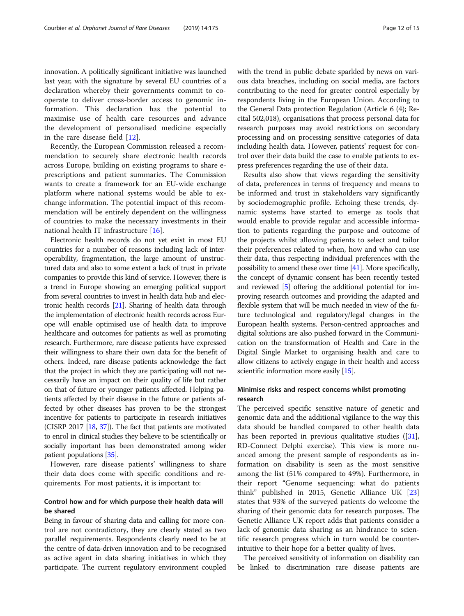innovation. A politically significant initiative was launched last year, with the signature by several EU countries of a declaration whereby their governments commit to cooperate to deliver cross-border access to genomic information. This declaration has the potential to maximise use of health care resources and advance the development of personalised medicine especially in the rare disease field [[12\]](#page-14-0).

Recently, the European Commission released a recommendation to securely share electronic health records across Europe, building on existing programs to share eprescriptions and patient summaries. The Commission wants to create a framework for an EU-wide exchange platform where national systems would be able to exchange information. The potential impact of this recommendation will be entirely dependent on the willingness of countries to make the necessary investments in their national health IT infrastructure [[16](#page-14-0)].

Electronic health records do not yet exist in most EU countries for a number of reasons including lack of interoperability, fragmentation, the large amount of unstructured data and also to some extent a lack of trust in private companies to provide this kind of service. However, there is a trend in Europe showing an emerging political support from several countries to invest in health data hub and electronic health records [\[21\]](#page-14-0). Sharing of health data through the implementation of electronic health records across Europe will enable optimised use of health data to improve healthcare and outcomes for patients as well as promoting research. Furthermore, rare disease patients have expressed their willingness to share their own data for the benefit of others. Indeed, rare disease patients acknowledge the fact that the project in which they are participating will not necessarily have an impact on their quality of life but rather on that of future or younger patients affected. Helping patients affected by their disease in the future or patients affected by other diseases has proven to be the strongest incentive for patients to participate in research initiatives (CISRP 2017 [\[18,](#page-14-0) [37](#page-14-0)]). The fact that patients are motivated to enrol in clinical studies they believe to be scientifically or socially important has been demonstrated among wider patient populations [[35](#page-14-0)].

However, rare disease patients' willingness to share their data does come with specific conditions and requirements. For most patients, it is important to:

# Control how and for which purpose their health data will be shared

Being in favour of sharing data and calling for more control are not contradictory, they are clearly stated as two parallel requirements. Respondents clearly need to be at the centre of data-driven innovation and to be recognised as active agent in data sharing initiatives in which they participate. The current regulatory environment coupled with the trend in public debate sparkled by news on various data breaches, including on social media, are factors contributing to the need for greater control especially by respondents living in the European Union. According to the General Data protection Regulation (Article 6 (4); Recital 502,018), organisations that process personal data for research purposes may avoid restrictions on secondary processing and on processing sensitive categories of data including health data. However, patients' request for control over their data build the case to enable patients to express preferences regarding the use of their data.

Results also show that views regarding the sensitivity of data, preferences in terms of frequency and means to be informed and trust in stakeholders vary significantly by sociodemographic profile. Echoing these trends, dynamic systems have started to emerge as tools that would enable to provide regular and accessible information to patients regarding the purpose and outcome of the projects whilst allowing patients to select and tailor their preferences related to when, how and who can use their data, thus respecting individual preferences with the possibility to amend these over time [[41](#page-14-0)]. More specifically, the concept of dynamic consent has been recently tested and reviewed [\[5\]](#page-14-0) offering the additional potential for improving research outcomes and providing the adapted and flexible system that will be much needed in view of the future technological and regulatory/legal changes in the European health systems. Person-centred approaches and digital solutions are also pushed forward in the Communication on the transformation of Health and Care in the Digital Single Market to organising health and care to allow citizens to actively engage in their health and access scientific information more easily [[15](#page-14-0)].

# Minimise risks and respect concerns whilst promoting research

The perceived specific sensitive nature of genetic and genomic data and the additional vigilance to the way this data should be handled compared to other health data has been reported in previous qualitative studies ([\[31](#page-14-0)], RD-Connect Delphi exercise). This view is more nuanced among the present sample of respondents as information on disability is seen as the most sensitive among the list (51% compared to 49%). Furthermore, in their report "Genome sequencing: what do patients think" published in 2015, Genetic Alliance UK [[23](#page-14-0)] states that 93% of the surveyed patients do welcome the sharing of their genomic data for research purposes. The Genetic Alliance UK report adds that patients consider a lack of genomic data sharing as an hindrance to scientific research progress which in turn would be counterintuitive to their hope for a better quality of lives.

The perceived sensitivity of information on disability can be linked to discrimination rare disease patients are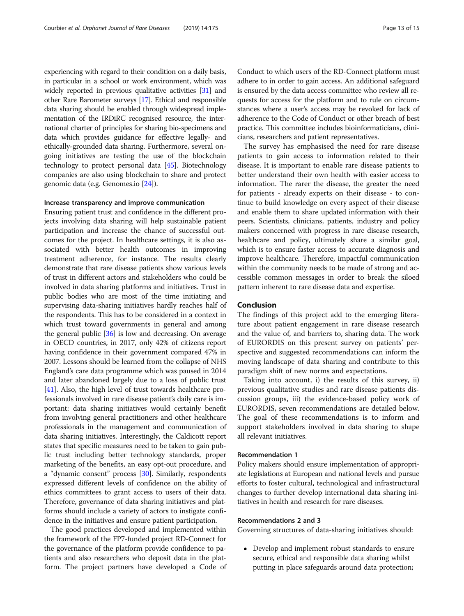experiencing with regard to their condition on a daily basis, in particular in a school or work environment, which was widely reported in previous qualitative activities [\[31](#page-14-0)] and other Rare Barometer surveys [\[17\]](#page-14-0). Ethical and responsible data sharing should be enabled through widespread implementation of the IRDiRC recognised resource, the international charter of principles for sharing bio-specimens and data which provides guidance for effective legally- and ethically-grounded data sharing. Furthermore, several ongoing initiatives are testing the use of the blockchain technology to protect personal data [\[45\]](#page-14-0). Biotechnology companies are also using blockchain to share and protect genomic data (e.g. Genomes.io [[24\]](#page-14-0)).

#### Increase transparency and improve communication

Ensuring patient trust and confidence in the different projects involving data sharing will help sustainable patient participation and increase the chance of successful outcomes for the project. In healthcare settings, it is also associated with better health outcomes in improving treatment adherence, for instance. The results clearly demonstrate that rare disease patients show various levels of trust in different actors and stakeholders who could be involved in data sharing platforms and initiatives. Trust in public bodies who are most of the time initiating and supervising data-sharing initiatives hardly reaches half of the respondents. This has to be considered in a context in which trust toward governments in general and among the general public [[36](#page-14-0)] is low and decreasing. On average in OECD countries, in 2017, only 42% of citizens report having confidence in their government compared 47% in 2007. Lessons should be learned from the collapse of NHS England's care data programme which was paused in 2014 and later abandoned largely due to a loss of public trust [[41](#page-14-0)]. Also, the high level of trust towards healthcare professionals involved in rare disease patient's daily care is important: data sharing initiatives would certainly benefit from involving general practitioners and other healthcare professionals in the management and communication of data sharing initiatives. Interestingly, the Caldicott report states that specific measures need to be taken to gain public trust including better technology standards, proper marketing of the benefits, an easy opt-out procedure, and a "dynamic consent" process [[30](#page-14-0)]. Similarly, respondents expressed different levels of confidence on the ability of ethics committees to grant access to users of their data. Therefore, governance of data sharing initiatives and platforms should include a variety of actors to instigate confidence in the initiatives and ensure patient participation.

The good practices developed and implemented within the framework of the FP7-funded project RD-Connect for the governance of the platform provide confidence to patients and also researchers who deposit data in the platform. The project partners have developed a Code of

Conduct to which users of the RD-Connect platform must adhere to in order to gain access. An additional safeguard is ensured by the data access committee who review all requests for access for the platform and to rule on circumstances where a user's access may be revoked for lack of adherence to the Code of Conduct or other breach of best practice. This committee includes bioinformaticians, clinicians, researchers and patient representatives.

The survey has emphasised the need for rare disease patients to gain access to information related to their disease. It is important to enable rare disease patients to better understand their own health with easier access to information. The rarer the disease, the greater the need for patients - already experts on their disease - to continue to build knowledge on every aspect of their disease and enable them to share updated information with their peers. Scientists, clinicians, patients, industry and policy makers concerned with progress in rare disease research, healthcare and policy, ultimately share a similar goal, which is to ensure faster access to accurate diagnosis and improve healthcare. Therefore, impactful communication within the community needs to be made of strong and accessible common messages in order to break the siloed pattern inherent to rare disease data and expertise.

## Conclusion

The findings of this project add to the emerging literature about patient engagement in rare disease research and the value of, and barriers to, sharing data. The work of EURORDIS on this present survey on patients' perspective and suggested recommendations can inform the moving landscape of data sharing and contribute to this paradigm shift of new norms and expectations.

Taking into account, i) the results of this survey, ii) previous qualitative studies and rare disease patients discussion groups, iii) the evidence-based policy work of EURORDIS, seven recommendations are detailed below. The goal of these recommendations is to inform and support stakeholders involved in data sharing to shape all relevant initiatives.

#### Recommendation 1

Policy makers should ensure implementation of appropriate legislations at European and national levels and pursue efforts to foster cultural, technological and infrastructural changes to further develop international data sharing initiatives in health and research for rare diseases.

## Recommendations 2 and 3

Governing structures of data-sharing initiatives should:

 Develop and implement robust standards to ensure secure, ethical and responsible data sharing whilst putting in place safeguards around data protection;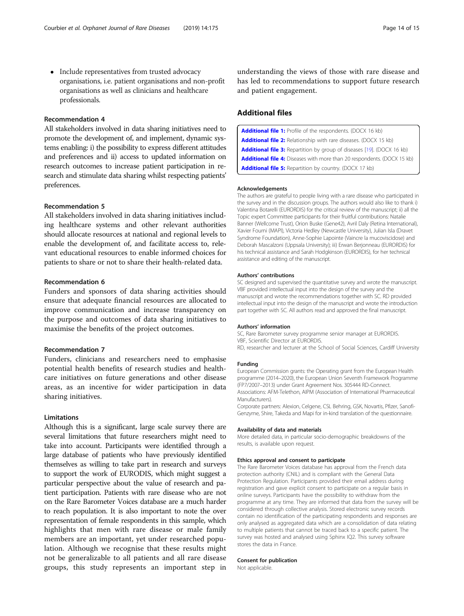<span id="page-13-0"></span>• Include representatives from trusted advocacy organisations, i.e. patient organisations and non-profit organisations as well as clinicians and healthcare professionals.

## Recommendation 4

All stakeholders involved in data sharing initiatives need to promote the development of, and implement, dynamic systems enabling: i) the possibility to express different attitudes and preferences and ii) access to updated information on research outcomes to increase patient participation in research and stimulate data sharing whilst respecting patients' preferences.

#### Recommendation 5

All stakeholders involved in data sharing initiatives including healthcare systems and other relevant authorities should allocate resources at national and regional levels to enable the development of, and facilitate access to, relevant educational resources to enable informed choices for patients to share or not to share their health-related data.

## Recommendation 6

Funders and sponsors of data sharing activities should ensure that adequate financial resources are allocated to improve communication and increase transparency on the purpose and outcomes of data sharing initiatives to maximise the benefits of the project outcomes.

## Recommendation 7

Funders, clinicians and researchers need to emphasise potential health benefits of research studies and healthcare initiatives on future generations and other disease areas, as an incentive for wider participation in data sharing initiatives.

## Limitations

Although this is a significant, large scale survey there are several limitations that future researchers might need to take into account. Participants were identified through a large database of patients who have previously identified themselves as willing to take part in research and surveys to support the work of EURODIS, which might suggest a particular perspective about the value of research and patient participation. Patients with rare disease who are not on the Rare Barometer Voices database are a much harder to reach population. It is also important to note the over representation of female respondents in this sample, which highlights that men with rare disease or male family members are an important, yet under researched population. Although we recognise that these results might not be generalizable to all patients and all rare disease groups, this study represents an important step in

understanding the views of those with rare disease and has led to recommendations to support future research and patient engagement.

# Additional files

| <b>Additional file 1:</b> Profile of the respondents. (DOCX 16 kb)             |
|--------------------------------------------------------------------------------|
| <b>Additional file 2:</b> Relationship with rare diseases. (DOCX 15 kb)        |
| <b>Additional file 3:</b> Repartition by group of diseases [19]. (DOCX 16 kb)  |
| <b>Additional file 4:</b> Diseases with more than 20 respondents. (DOCX 15 kb) |
| <b>Additional file 5:</b> Repartition by country. (DOCX 17 kb)                 |

#### Acknowledgements

The authors are grateful to people living with a rare disease who participated in the survey and in the discussion groups. The authors would also like to thank i) Valentina Botarelli (EURORDIS) for the critical review of the manuscript; ii) all the Topic expert Committee participants for their fruitful contributions: Natalie Banner (Wellcome Trust), Orion Buske (Gene42), Avril Daly (Retina International), Xavier Fourni (MAPI), Victoria Hedley (Newcastle University), Julian Isla (Dravet Syndrome Foundation), Anne-Sophie Lapointe (Vaincre la mucoviscidose) and Deborah Mascalzoni (Uppsala University); iii) Erwan Berjonneau (EURORDIS) for his technical assistance and Sarah Hodgkinson (EURORDIS), for her technical assistance and editing of the manuscript.

#### Authors' contributions

SC designed and supervised the quantitative survey and wrote the manuscript. VBF provided intellectual input into the design of the survey and the manuscript and wrote the recommendations together with SC. RD provided intellectual input into the design of the manuscript and wrote the introduction part together with SC. All authors read and approved the final manuscript.

#### Authors' information

SC, Rare Barometer survey programme senior manager at EURORDIS. VBF, Scientific Director at EURORDIS.

RD, researcher and lecturer at the School of Social Sciences, Cardiff University

#### Funding

European Commission grants: the Operating grant from the European Health programme (2014–2020), the European Union Seventh Framework Programme (FP7/2007–2013) under Grant Agreement Nos. 305444 RD-Connect. Associations: AFM-Telethon, AIPM (Association of International Pharmaceutical Manufacturers).

Corporate partners: Alexion, Celgene, CSL Behring, GSK, Novartis, Pfizer, Sanofi-Genzyme, Shire, Takeda and Mapi for in-kind translation of the questionnaire.

#### Availability of data and materials

More detailed data, in particular socio-demographic breakdowns of the results, is available upon request.

#### Ethics approval and consent to participate

The Rare Barometer Voices database has approval from the French data protection authority (CNIL) and is compliant with the General Data Protection Regulation. Participants provided their email address during registration and gave explicit consent to participate on a regular basis in online surveys. Participants have the possibility to withdraw from the programme at any time. They are informed that data from the survey will be considered through collective analysis. Stored electronic survey records contain no identification of the participating respondents and responses are only analysed as aggregated data which are a consolidation of data relating to multiple patients that cannot be traced back to a specific patient. The survey was hosted and analysed using Sphinx IQ2. This survey software stores the data in France.

## Consent for publication

Not applicable.